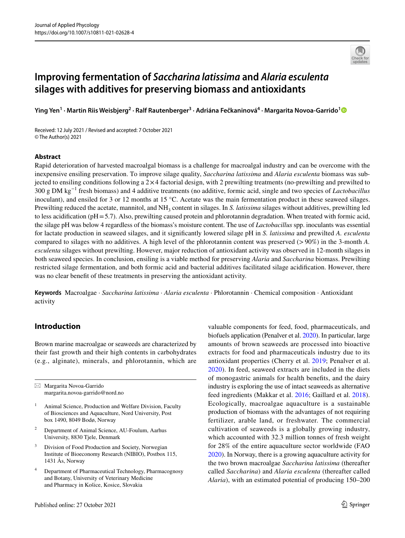

# **Improving fermentation of** *Saccharina latissima* **and** *Alaria esculenta* **silages with additives for preserving biomass and antioxidants**

**Ying Yen1 · Martin Riis Weisbjerg<sup>2</sup> · Ralf Rautenberger3 · Adriána Fečkaninová4 · Margarita Novoa‑Garrido[1](http://orcid.org/0000-0002-1383-0359)**

Received: 12 July 2021 / Revised and accepted: 7 October 2021 © The Author(s) 2021

### **Abstract**

Rapid deterioration of harvested macroalgal biomass is a challenge for macroalgal industry and can be overcome with the inexpensive ensiling preservation. To improve silage quality, *Saccharina latissima* and *Alaria esculenta* biomass was subjected to ensiling conditions following a  $2\times4$  factorial design, with 2 prewilting treatments (no-prewilting and prewilted to 300 g DM kg−1 fresh biomass) and 4 additive treatments (no additive, formic acid, single and two species of *Lactobacillus* inoculant), and ensiled for 3 or 12 months at 15 °C. Acetate was the main fermentation product in these seaweed silages. Prewilting reduced the acetate, mannitol, and NH3 content in silages. In *S. latissima* silages without additives, prewilting led to less acidification ( $pH = 5.7$ ). Also, prewilting caused protein and phlorotannin degradation. When treated with formic acid, the silage pH was below 4 regardless of the biomass's moisture content. The use of *Lactobacillus* spp. inoculants was essential for lactate production in seaweed silages, and it signifcantly lowered silage pH in *S. latissima* and prewilted *A. esculenta* compared to silages with no additives. A high level of the phlorotannin content was preserved (>90%) in the 3-month *A. esculenta* silages without prewilting. However, major reduction of antioxidant activity was observed in 12-month silages in both seaweed species. In conclusion, ensiling is a viable method for preserving *Alaria* and *Saccharina* biomass. Prewilting restricted silage fermentation, and both formic acid and bacterial additives facilitated silage acidifcation. However, there was no clear beneft of these treatments in preserving the antioxidant activity.

**Keywords** Macroalgae · *Saccharina latissima* · *Alaria esculenta* · Phlorotannin · Chemical composition · Antioxidant activity

## **Introduction**

Brown marine macroalgae or seaweeds are characterized by their fast growth and their high contents in carbohydrates (e.g., alginate), minerals, and phlorotannin, which are

 $\boxtimes$  Margarita Novoa-Garrido margarita.novoa-garrido@nord.no

- <sup>1</sup> Animal Science, Production and Welfare Division, Faculty of Biosciences and Aquaculture, Nord University, Post box 1490, 8049 Bodø, Norway
- <sup>2</sup> Department of Animal Science, AU-Foulum, Aarhus University, 8830 Tjele, Denmark
- <sup>3</sup> Division of Food Production and Society, Norwegian Institute of Bioeconomy Research (NIBIO), Postbox 115, 1431 Ås, Norway
- Department of Pharmaceutical Technology, Pharmacognosy and Botany, University of Veterinary Medicine and Pharmacy in Košice, Kosice, Slovakia

Published online: 27 October 2021

valuable components for feed, food, pharmaceuticals, and biofuels application (Penalver et al. [2020\)](#page-11-0). In particular, large amounts of brown seaweeds are processed into bioactive extracts for food and pharmaceuticals industry due to its antioxidant properties (Cherry et al. [2019](#page-10-0); Penalver et al. [2020\)](#page-11-0). In feed, seaweed extracts are included in the diets of monogastric animals for health benefts, and the dairy industry is exploring the use of intact seaweeds as alternative feed ingredients (Makkar et al. [2016](#page-11-1); Gaillard et al. [2018](#page-10-1)). Ecologically, macroalgae aquaculture is a sustainable production of biomass with the advantages of not requiring fertilizer, arable land, or freshwater. The commercial cultivation of seaweeds is a globally growing industry, which accounted with 32.3 million tonnes of fresh weight for 28% of the entire aquaculture sector worldwide (FAO [2020\)](#page-10-2). In Norway, there is a growing aquaculture activity for the two brown macroalgae *Saccharina latissima* (thereafter called *Saccharina*) and *Alaria esculenta* (thereafter called *Alaria*), with an estimated potential of producing 150–200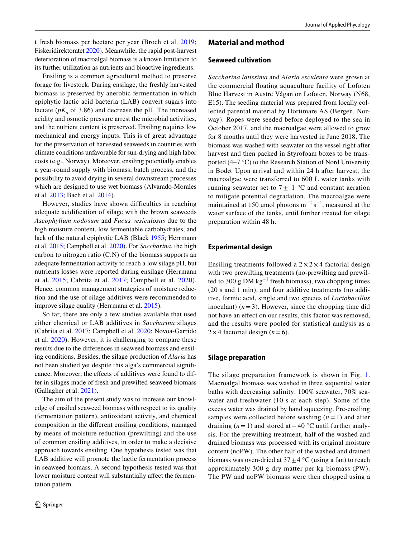t fresh biomass per hectare per year (Broch et al. [2019](#page-10-3); Fiskeridirektoratet [2020](#page-10-4)). Meanwhile, the rapid post-harvest deterioration of macroalgal biomass is a known limitation to its further utilization as nutrients and bioactive ingredients.

Ensiling is a common agricultural method to preserve forage for livestock. During ensilage, the freshly harvested biomass is preserved by anerobic fermentation in which epiphytic lactic acid bacteria (LAB) convert sugars into lactate  $(pK_a \text{ of } 3.86)$  and decrease the pH. The increased acidity and osmotic pressure arrest the microbial activities, and the nutrient content is preserved. Ensiling requires low mechanical and energy inputs. This is of great advantage for the preservation of harvested seaweeds in countries with climate conditions unfavorable for sun-drying and high labor costs (e.g., Norway). Moreover, ensiling potentially enables a year-round supply with biomass, batch process, and the possibility to avoid drying in several downstream processes which are designed to use wet biomass (Alvarado-Morales et al. [2013](#page-10-5); Bach et al. [2014\)](#page-10-6).

However, studies have shown difficulties in reaching adequate acidifcation of silage with the brown seaweeds *Ascophyllum nodosum* and *Fucus vesiculosus* due to the high moisture content, low fermentable carbohydrates, and lack of the natural epiphytic LAB (Black [1955;](#page-10-7) Herrmann et al. [2015;](#page-10-8) Campbell et al. [2020](#page-10-9)). For *Saccharina*, the high carbon to nitrogen ratio (C:N) of the biomass supports an adequate fermentation activity to reach a low silage pH, but nutrients losses were reported during ensilage (Herrmann et al. [2015](#page-10-8); Cabrita et al. [2017;](#page-10-10) Campbell et al. [2020](#page-10-9)). Hence, common management strategies of moisture reduction and the use of silage additives were recommended to improve silage quality (Herrmann et al. [2015](#page-10-8)).

So far, there are only a few studies available that used either chemical or LAB additives in *Saccharina* silages (Cabrita et al. [2017;](#page-10-10) Campbell et al. [2020;](#page-10-9) Novoa-Garrido et al. [2020\)](#page-11-2). However, it is challenging to compare these results due to the diferences in seaweed biomass and ensiling conditions. Besides, the silage production of *Alaria* has not been studied yet despite this alga's commercial signifcance. Moreover, the efects of additives were found to differ in silages made of fresh and prewilted seaweed biomass (Gallagher et al. [2021\)](#page-10-11).

The aim of the present study was to increase our knowledge of ensiled seaweed biomass with respect to its quality (fermentation pattern), antioxidant activity, and chemical composition in the diferent ensiling conditions, managed by means of moisture reduction (prewilting) and the use of common ensiling additives, in order to make a decisive approach towards ensiling. One hypothesis tested was that LAB additive will promote the lactic fermentation process in seaweed biomass. A second hypothesis tested was that lower moisture content will substantially affect the fermentation pattern.

## **Material and method**

#### **Seaweed cultivation**

*Saccharina latissima* and *Alaria esculenta* were grown at the commercial foating aquaculture facility of Lofoten Blue Harvest in Austre Vågan on Lofoten, Norway (N68, E15). The seeding material was prepared from locally collected parental material by Hortimare AS (Bergen, Norway). Ropes were seeded before deployed to the sea in October 2017, and the macroalgae were allowed to grow for 8 months until they were harvested in June 2018. The biomass was washed with seawater on the vessel right after harvest and then packed in Styrofoam boxes to be transported (4–7 °C) to the Research Station of Nord University in Bodø. Upon arrival and within 24 h after harvest, the macroalgae were transferred to 600 L water tanks with running seawater set to  $7 \pm 1$  °C and constant aeration to mitigate potential degradation. The macroalgae were maintained at 150 µmol photons  $m^{-2}$  s<sup>-1</sup>, measured at the water surface of the tanks, until further treated for silage preparation within 48 h.

#### **Experimental design**

Ensiling treatments followed a  $2 \times 2 \times 4$  factorial design with two prewilting treatments (no-prewilting and prewilted to 300 g DM kg<sup>-1</sup> fresh biomass), two chopping times (20 s and 1 min), and four additive treatments (no additive, formic acid, single and two species of *Lactobacillus* inoculant)  $(n=3)$ . However, since the chopping time did not have an efect on our results, this factor was removed, and the results were pooled for statistical analysis as a  $2 \times 4$  factorial design (*n* = 6).

#### **Silage preparation**

The silage preparation framework is shown in Fig. [1.](#page-2-0) Macroalgal biomass was washed in three sequential water baths with decreasing salinity: 100% seawater, 70% seawater and freshwater (10 s at each step). Some of the excess water was drained by hand squeezing. Pre-ensiling samples were collected before washing  $(n = 1)$  and after draining (*n* = 1) and stored at− 40 °C until further analysis. For the prewilting treatment, half of the washed and drained biomass was processed with its original moisture content (noPW). The other half of the washed and drained biomass was oven-dried at  $37 \pm 4$  °C (using a fan) to reach approximately 300 g dry matter per kg biomass (PW). The PW and noPW biomass were then chopped using a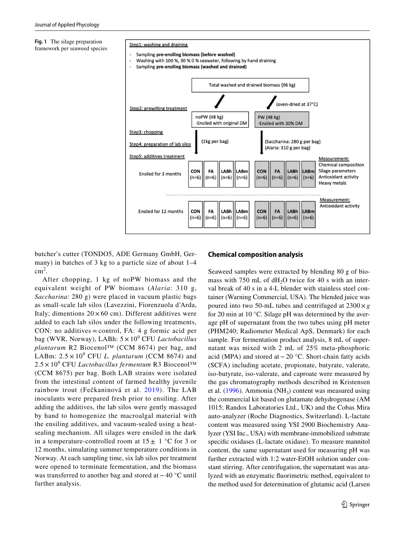<span id="page-2-0"></span>**Fig. 1** The silage preparation framework per seaweed species

#### Step1: washing and draining

- Sampling pre-ensiling biomass (before washed)
- Washing with 100 %, 30 % 0 % seawater, following by hand draining
- Sampling pre-ensiling biomass (washed and drained)



butcher's cutter (TONDO5, ADE Germany GmbH, Germany) in batches of 3 kg to a particle size of about 1–4  $\text{cm}^2$ .

After chopping, 1 kg of noPW biomass and the equivalent weight of PW biomass (*Alaria*: 310 g, *Saccharina*: 280 g) were placed in vacuum plastic bags as small-scale lab silos (Lavezzini, Fiorenzuola d'Arda, Italy; dimentions  $20 \times 60$  cm). Different additives were added to each lab silos under the following treatments, CON: no additives = control, FA:  $4 \text{ g}$  formic acid per bag (WVR, Norway), LABh: 5 × 10<sup>9</sup> CFU *Lactobacillus plantarum* R2 Biocenol™ (CCM 8674) per bag, and LABm:  $2.5 \times 10^9$  CFU *L. plantarum* (CCM 8674) and 2.5 × 10<sup>9</sup> CFU *Lactobacillus fermentum* R3 Biocenol™ (CCM 8675) per bag. Both LAB strains were isolated from the intestinal content of farmed healthy juvenile rainbow trout (Fečkaninová et al. [2019\)](#page-10-12). The LAB inoculants were prepared fresh prior to ensiling. After adding the additives, the lab silos were gently massaged by hand to homogenize the macroalgal material with the ensiling additives, and vacuum-sealed using a heatsealing mechanism. All silages were ensiled in the dark in a temperature-controlled room at  $15 \pm 1$  °C for 3 or 12 months, simulating summer temperature conditions in Norway. At each sampling time, six lab silos per treatment were opened to terminate fermentation, and the biomass was transferred to another bag and stored at−40 °C until further analysis.

## **Chemical composition analysis**

Seaweed samples were extracted by blending 80 g of biomass with  $750$  mL of  $dH<sub>2</sub>O$  twice for 40 s with an interval break of 40 s in a 4-L blender with stainless steel container (Warning Commercial, USA). The blended juice was poured into two 50-mL tubes and centrifuged at 2300×*g* for 20 min at 10 °C. Silage pH was determined by the average pH of supernatant from the two tubes using pH meter (PHM240; Radiometer Medical ApS, Denmark) for each sample. For fermentation product analysis, 8 mL of supernatant was mixed with 2 mL of 25% meta-phosphoric acid (MPA) and stored at−20 °C. Short-chain fatty acids (SCFA) including acetate, propionate, butyrate, valerate, iso-butyrate, iso-valerate, and caproate were measured by the gas chromatography methods described in Kristensen et al.  $(1996)$  $(1996)$ . Ammonia (NH<sub>3</sub>) content was measured using the commercial kit based on glutamate dehydrogenase (AM 1015; Randox Laboratories Ltd., UK) and the Cobas Mira auto-analyzer (Roche Diagnostics, Switzerland). L-lactate content was measured using YSI 2900 Biochemistry Analyzer (YSI Inc., USA) with membrane-immobilized substrate specifc oxidases (L-lactate oxidase). To measure mannitol content, the same supernatant used for measuring pH was further extracted with 1:2 water-EtOH solution under constant stirring. After centrifugation, the supernatant was analyzed with an enzymatic fuorimetric method, equivalent to the method used for determination of glutamic acid (Larsen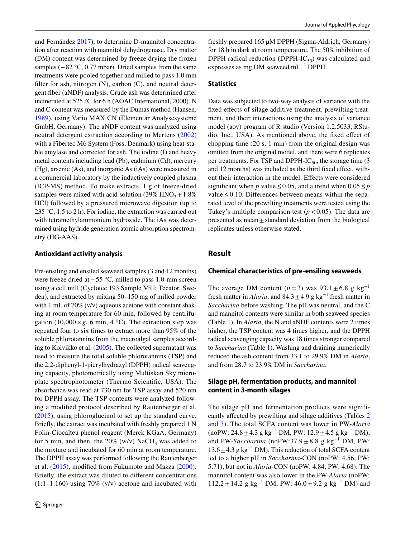and Fernández [2017\)](#page-11-4), to determine D-mannitol concentration after reaction with mannitol dehydrogenase. Dry matter (DM) content was determined by freeze drying the frozen samples (−82 °C, 0.77 mbar). Dried samples from the same treatments were pooled together and milled to pass 1.0 mm filter for ash, nitrogen  $(N)$ , carbon  $(C)$ , and neutral detergent fber (aNDF) analysis. Crude ash was determined after incinerated at 525 °C for 6 h (AOAC International, 2000). N and C content was measured by the Dumas method (Hansen, [1989](#page-10-13)), using Vario MAX CN (Elementar Analysesysteme GmbH, Germany). The aNDF content was analyzed using neutral detergent extraction according to Mertens [\(2002\)](#page-11-5) with a Fibertec M6 System (Foss, Denmark) using heat-stable amylase and corrected for ash. The iodine (I) and heavy metal contents including lead (Pb), cadmium (Cd), mercury (Hg), arsenic (As), and inorganic As (iAs) were measured in a commercial laboratory by the inductively coupled plasma (ICP-MS) method. To make extracts, 1 g of freeze-dried samples were mixed with acid solution (39% HNO<sub>3</sub> +  $1.8\%$ ) HCl) followed by a pressured microwave digestion (up to 235 °C, 1.5 to 2 h). For iodine, the extraction was carried out with tetramethylammonium hydroxide. The iAs was determined using hydride generation atomic absorption spectrometry (HG-AAS).

#### **Antioxidant activity analysis**

Pre-ensiling and ensiled seaweed samples (3 and 12 months) were freeze dried at−55 °C, milled to pass 1.0-mm screen using a cell mill (Cyclotec 193 Sample Mill; Tecator, Sweden), and extracted by mixing 50–150 mg of milled powder with 1 mL of 70% (v/v) aqueous acetone with constant shaking at room temperature for 60 min, followed by centrifugation  $(10,000 \times g, 6 \text{ min}, 4 \degree C)$ . The extraction step was repeated four to six times to extract more than 95% of the soluble phlorotannins from the macroalgal samples according to Koivikko et al. ([2005\)](#page-11-6). The collected supernatant was used to measure the total soluble phlorotannins (TSP) and the 2,2-diphenyl-1-picrylhydrazyl (DPPH) radical scavenging capacity, photometrically using Multiskan Sky microplate spectrophotometer (Thermo Scientifc, USA). The absorbance was read at 730 nm for TSP assay and 520 nm for DPPH assay. The TSP contents were analyzed following a modifed protocol described by Rautenberger et al. [\(2015\)](#page-11-7), using phloroglucinol to set up the standard curve. Briefy, the extract was incubated with freshly prepared 1 N Folin-Ciocalteu phenol reagent (Merck KGaA, Germany) for 5 min, and then, the  $20\%$  (w/v) NaCO<sub>3</sub> was added to the mixture and incubated for 60 min at room temperature. The DPPH assay was performed following the Rautenberger et al. [\(2015\)](#page-11-7), modifed from Fukumoto and Mazza ([2000](#page-10-14)). Briefy, the extract was diluted to diferent concentrations  $(1:1-1:160)$  using 70% (v/v) acetone and incubated with freshly prepared 165 µM DPPH (Sigma-Aldrich, Germany) for 18 h in dark at room temperature. The 50% inhibition of DPPH radical reduction (DPPH-IC $_{50}$ ) was calculated and expresses as mg DM seaweed mL−1 DPPH.

#### **Statistics**

Data was subjected to two-way analysis of variance with the fixed effects of silage additive treatment, prewilting treatment, and their interactions using the analysis of variance model (aov) program of R studio (Version 1.2.5033, RStudio, Inc., USA). As mentioned above, the fxed efect of chopping time (20 s, 1 min) from the original design was omitted from the original model, and there were 6 replicates per treatments. For TSP and DPPH-IC $_{50}$ , the storage time (3) and 12 months) was included as the third fixed effect, without their interaction in the model. Efects were considered significant when *p* value  $\leq 0.05$ , and a trend when  $0.05 \leq p$ value  $\leq 0.10$ . Differences between means within the separated level of the prewilting treatments were tested using the Tukey's multiple comparison test  $(p < 0.05)$ . The data are presented as mean $\pm$  standard deviation from the biological replicates unless otherwise stated.

## **Result**

#### **Chemical characteristics of pre‑ensiling seaweeds**

The average DM content  $(n=3)$  was  $93.1 \pm 6.8$  g kg<sup>-1</sup> fresh matter in *Alaria*, and  $84.3 \pm 4.9$  g kg<sup>-1</sup> fresh matter in *Saccharina* before washing. The pH was neutral, and the C and mannitol contents were similar in both seaweed species (Table [1](#page-4-0)). In *Alaria*, the N and aNDF contents were 2 times higher, the TSP content was 4 times higher, and the DPPH radical scavenging capacity was 18 times stronger compared to *Saccharina* (Table [1\)](#page-4-0). Washing and draining numerically reduced the ash content from 33.1 to 29.9% DM in *Alaria*, and from 28.7 to 23.9% DM in *Saccharina*.

## **Silage pH, fermentation products, and mannitol content in 3‑month silages**

The silage pH and fermentation products were significantly afected by prewilting and silage additives (Tables [2](#page-4-1) and [3](#page-5-0)). The total SCFA content was lower in PW-*Alaria* (noPW:  $24.8 \pm 4.3$  g kg<sup>-1</sup> DM, PW:  $12.9 \pm 4.5$  g kg<sup>-1</sup> DM), and PW-*Saccharina* (noPW:37.9 ± 8.8 g kg<sup>-1</sup> DM, PW: 13.6±4.3 g kg−1 DM). This reduction of total SCFA content led to a higher pH in *Saccharina*-CON (noPW: 4.56, PW: 5.71), but not in *Alaria*-CON (noPW: 4.84, PW: 4.68). The mannitol content was also lower in the PW-*Alaria* (noPW: 112.2 ± 14.2 g kg<sup>-1</sup> DM, PW:  $46.0 \pm 9.2$  g kg<sup>-1</sup> DM) and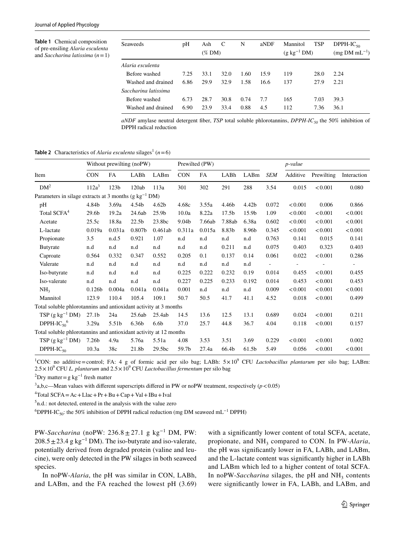<span id="page-4-0"></span>**Table 1** Chemical composition of pre-ensiling *Alaria esculenta* and *Saccharina latissima* (*n*=1)

| Seaweeds             | pH   | Ash<br>$(\%$ DM) | aNDF<br>C<br>N<br>Mannitol<br>$(g \text{ kg}^{-1} \text{DM})$ |      | <b>TSP</b> | $DPPH-IC_{50}$<br>$(mg DM mL^{-1})$ |      |      |
|----------------------|------|------------------|---------------------------------------------------------------|------|------------|-------------------------------------|------|------|
| Alaria esculenta     |      |                  |                                                               |      |            |                                     |      |      |
| Before washed        | 7.25 | 33.1             | 32.0                                                          | 1.60 | 15.9       | 119                                 | 28.0 | 2.24 |
| Washed and drained   | 6.86 | 29.9             | 32.9                                                          | 1.58 | 16.6       | 137                                 | 27.9 | 2.21 |
| Saccharina latissima |      |                  |                                                               |      |            |                                     |      |      |
| Before washed        | 6.73 | 28.7             | 30.8                                                          | 0.74 | 7.7        | 165                                 | 7.03 | 39.3 |
| Washed and drained   | 6.90 | 23.9             | 33.4                                                          | 0.88 | 4.5        | 112                                 | 7.36 | 36.1 |

*aNDF* amylase neutral detergent fber, *TSP* total soluble phlorotannins, *DPPH-IC50* the 50% inhibition of DPPH radical reduction

<span id="page-4-1"></span>**Table 2** Characteristics of *Alaria esculenta* silages<sup>1</sup> ( $n=6$ )

|                                                                   |                   |                  | Without prewilting (noPW) |                   | Prewilted (PW) |           |                   |                   |            | <i>p</i> -value |            |                          |  |
|-------------------------------------------------------------------|-------------------|------------------|---------------------------|-------------------|----------------|-----------|-------------------|-------------------|------------|-----------------|------------|--------------------------|--|
| Item                                                              | <b>CON</b>        | <b>FA</b>        | LABh                      | LABm              | <b>CON</b>     | <b>FA</b> | LABh              | LABm              | <b>SEM</b> | Additive        | Prewilting | Interaction              |  |
| DM <sup>2</sup>                                                   | 112a <sup>3</sup> | 123 <sub>b</sub> | 120ab                     | 113a              | 301            | 302       | 291               | 288               | 3.54       | 0.015           | < 0.001    | 0.080                    |  |
| Parameters in silage extracts at 3 months (g $kg^{-1}$ DM)        |                   |                  |                           |                   |                |           |                   |                   |            |                 |            |                          |  |
| pH                                                                | 4.84b             | 3.69a            | 4.54b                     | 4.62 <sub>b</sub> | 4.68c          | 3.55a     | 4.46b             | 4.42 <sub>b</sub> | 0.072      | < 0.001         | 0.006      | 0.866                    |  |
| Total SCFA <sup>4</sup>                                           | 29.6b             | 19.2a            | 24.6ab                    | 25.9 <sub>b</sub> | 10.0a          | 8.22a     | 17.5 <sub>b</sub> | 15.9b             | 1.09       | < 0.001         | < 0.001    | < 0.001                  |  |
| Acetate                                                           | 25.5c             | 18.8a            | 22.5 <sub>b</sub>         | 23.8bc            | 9.04b          | 7.66ab    | 7.88ab            | 6.38a             | 0.602      | < 0.001         | < 0.001    | < 0.001                  |  |
| L-lactate                                                         | 0.019a            | 0.031a           | 0.807 <sub>b</sub>        | 0.461ab           | 0.311a         | 0.015a    | 8.83b             | 8.96b             | 0.345      | < 0.001         | < 0.001    | < 0.001                  |  |
| Propionate                                                        | 3.5               | n.d.5            | 0.921                     | 1.07              | n.d            | n.d       | n.d               | n.d               | 0.763      | 0.141           | 0.015      | 0.141                    |  |
| Butyrate                                                          | n.d               | n.d              | n.d                       | n.d               | n.d            | n.d       | 0.211             | n.d               | 0.075      | 0.403           | 0.323      | 0.403                    |  |
| Caproate                                                          | 0.564             | 0.332            | 0.347                     | 0.552             | 0.205          | 0.1       | 0.137             | 0.14              | 0.061      | 0.022           | < 0.001    | 0.286                    |  |
| Valerate                                                          | n.d               | n.d              | n.d                       | n.d               | n.d            | n.d       | n.d               | n.d               | ÷          | ÷,              |            | $\overline{\phantom{a}}$ |  |
| Iso-butyrate                                                      | n.d               | n.d              | n.d                       | n.d               | 0.225          | 0.222     | 0.232             | 0.19              | 0.014      | 0.455           | < 0.001    | 0.455                    |  |
| Iso-valerate                                                      | n.d               | n.d              | n.d                       | n.d               | 0.227          | 0.225     | 0.233             | 0.192             | 0.014      | 0.453           | < 0.001    | 0.453                    |  |
| NH <sub>3</sub>                                                   | 0.126b            | 0.004a           | 0.041a                    | 0.041a            | 0.001          | n.d       | n.d               | n.d               | 0.009      | < 0.001         | < 0.001    | < 0.001                  |  |
| Mannitol                                                          | 123.9             | 110.4            | 105.4                     | 109.1             | 50.7           | 50.5      | 41.7              | 41.1              | 4.52       | 0.018           | < 0.001    | 0.499                    |  |
| Total soluble phlorotannins and antioxidant activity at 3 months  |                   |                  |                           |                   |                |           |                   |                   |            |                 |            |                          |  |
| $TSP(g kg^{-1} DM)$                                               | 27.1 <sub>b</sub> | 24a              | 25.6ab                    | 25.4ab            | 14.5           | 13.6      | 12.5              | 13.1              | 0.689      | 0.024           | < 0.001    | 0.211                    |  |
| DPPH-IC <sub>50</sub> <sup>6</sup>                                | 3.29a             | 5.51b            | 6.36b                     | 6.6 <sub>b</sub>  | 37.0           | 25.7      | 44.8              | 36.7              | 4.04       | 0.118           | < 0.001    | 0.157                    |  |
| Total soluble phlorotannins and antioxidant activity at 12 months |                   |                  |                           |                   |                |           |                   |                   |            |                 |            |                          |  |
| $TSP$ (g kg <sup>-1</sup> DM)                                     | 7.26b             | 4.9a             | 5.76a                     | 5.51a             | 4.08           | 3.53      | 3.51              | 3.69              | 0.229      | < 0.001         | < 0.001    | 0.002                    |  |
| $DPPH-IC_{50}$                                                    | 10.3a             | 38c              | 21.8b                     | 29.5bc            | 59.7b          | 27.4a     | 66.4b             | 61.5b             | 5.49       | 0.056           | < 0.001    | < 0.001                  |  |

<sup>1</sup>CON: no additive=control; FA: 4 g of formic acid per silo bag; LABh: 5×10<sup>9</sup> CFU *Lactobacillus plantarum* per silo bag; LABm:  $2.5 \times 10^9$  CFU *L. plantarum* and  $2.5 \times 10^9$  CFU *Lactobacillus fermentum* per silo bag

 $^{2}$ Dry matter = g kg<sup>-1</sup> fresh matter

 $3a,b,c$ —Mean values with different superscripts differed in PW or noPW treatment, respectively ( $p < 0.05$ )

 ${}^{4}$ Total SCFA = Ac + Llac + Pr + Bu + Cap + Val + IBu + Ival

5 n.d.: not detected, entered in the analysis with the value zero

<sup>6</sup>DPPH-IC<sub>50</sub>: the 50% inhibition of DPPH radical reduction (mg DM seaweed mL<sup>-1</sup> DPPH)

PW-Saccharina (noPW: 236.8 ± 27.1 g kg<sup>-1</sup> DM, PW:  $208.5 \pm 23.4$  g kg<sup>-1</sup> DM). The iso-butyrate and iso-valerate, potentially derived from degraded protein (valine and leucine), were only detected in the PW silages in both seaweed species.

In noPW-*Alaria*, the pH was similar in CON, LABh, and LABm, and the FA reached the lowest pH (3.69) with a significantly lower content of total SCFA, acetate, propionate, and NH<sub>3</sub> compared to CON. In PW-Alaria, the pH was signifcantly lower in FA, LABh, and LABm, and the L-lactate content was signifcantly higher in LABh and LABm which led to a higher content of total SCFA. In noPW-*Saccharina* silages, the pH and  $NH<sub>3</sub>$  contents were signifcantly lower in FA, LABh, and LABm, and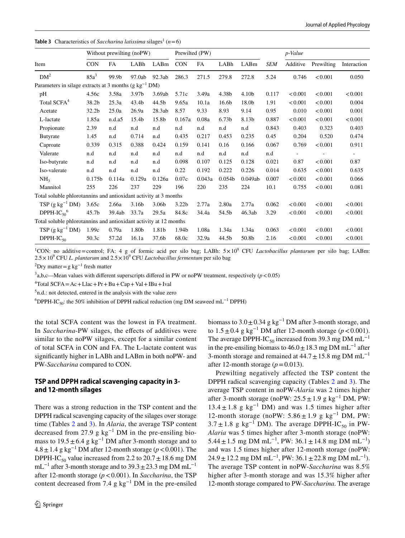#### <span id="page-5-0"></span>**Table 3** Characteristics of *Saccharina latissima* silages<sup>1</sup> ( $n=6$ )

|                                                                              | Prewilted (PW)<br>Without prewilting (noPW) |        |                   |        |                   |        |                    | p-Value |       |          |            |             |
|------------------------------------------------------------------------------|---------------------------------------------|--------|-------------------|--------|-------------------|--------|--------------------|---------|-------|----------|------------|-------------|
| Item                                                                         | <b>CON</b>                                  | FA     | LABh              | LABm   | <b>CON</b>        | FA     | LABh               | LABm    | SEM   | Additive | Prewilting | Interaction |
| DM <sup>2</sup>                                                              | $85a^3$                                     | 99.9b  | 97.0ab            | 92.3ab | 286.3             | 271.5  | 279.8              | 272.8   | 5.24  | 0.746    | < 0.001    | 0.050       |
| Parameters in silage extracts at 3 months ( $g \text{ kg}^{-1} \text{ DM}$ ) |                                             |        |                   |        |                   |        |                    |         |       |          |            |             |
| pH                                                                           | 4.56c                                       | 3.58a  | 3.97 <sub>b</sub> | 3.69ab | 5.71c             | 3.49a  | 4.38b              | 4.10b   | 0.117 | < 0.001  | < 0.001    | < 0.001     |
| Total SCFA <sup>4</sup>                                                      | 38.2b                                       | 25.3a  | 43.4b             | 44.5b  | 9.65a             | 10.1a  | 16.6 <sub>b</sub>  | 18.0b   | 1.91  | < 0.001  | < 0.001    | 0.004       |
| Acetate                                                                      | 32.2b                                       | 25.0a  | 26.9a             | 28.3ab | 8.57              | 9.33   | 8.93               | 9.14    | 0.95  | 0.010    | < 0.001    | 0.001       |
| L-lactate                                                                    | 1.85a                                       | n.d.a5 | 15.4b             | 15.8b  | 0.167a            | 0.08a  | 6.73 <sub>b</sub>  | 8.13b   | 0.887 | < 0.001  | < 0.001    | < 0.001     |
| Propionate                                                                   | 2.39                                        | n.d    | n.d               | n.d    | n.d               | n.d    | n.d                | n.d     | 0.843 | 0.403    | 0.323      | 0.403       |
| <b>Butyrate</b>                                                              | 1.45                                        | n.d    | 0.714             | n.d    | 0.435             | 0.217  | 0.453              | 0.235   | 0.45  | 0.204    | 0.520      | 0.474       |
| Caproate                                                                     | 0.339                                       | 0.315  | 0.388             | 0.424  | 0.159             | 0.141  | 0.16               | 0.166   | 0.067 | 0.769    | < 0.001    | 0.911       |
| Valerate                                                                     | n.d                                         | n.d    | n.d               | n.d    | n.d               | n.d    | n.d                | n.d     | n.d   |          |            |             |
| Iso-butyrate                                                                 | n.d                                         | n.d    | n.d               | n.d    | 0.098             | 0.107  | 0.125              | 0.128   | 0.021 | 0.87     | < 0.001    | 0.87        |
| Iso-valerate                                                                 | n.d                                         | n.d    | n.d               | n.d    | 0.22              | 0.192  | 0.222              | 0.226   | 0.014 | 0.635    | < 0.001    | 0.635       |
| NH <sub>3</sub>                                                              | 0.175 <sub>b</sub>                          | 0.114a | 0.129a            | 0.126a | 0.07c             | 0.043a | 0.054 <sub>b</sub> | 0.049ab | 0.007 | < 0.001  | < 0.001    | 0.066       |
| Mannitol                                                                     | 255                                         | 226    | 237               | 229    | 196               | 220    | 235                | 224     | 10.1  | 0.755    | < 0.001    | 0.081       |
| Total soluble phlorotannins and antioxidant activity at 3 months             |                                             |        |                   |        |                   |        |                    |         |       |          |            |             |
| TSP $(g \ kg^{-1} DM)$                                                       | 3.65c                                       | 2.66a  | 3.16b             | 3.06b  | 3.22 <sub>b</sub> | 2.77a  | 2.80a              | 2.77a   | 0.062 | < 0.001  | < 0.001    | < 0.001     |
| DPPH-IC <sub>50</sub> <sup>6</sup>                                           | 45.7b                                       | 39.4ab | 33.7a             | 29.5a  | 84.8c             | 34.4a  | 54.5b              | 46.3ab  | 3.29  | < 0.001  | < 0.001    | < 0.001     |
| Total soluble phlorotannins and antioxidant activity at 12 months            |                                             |        |                   |        |                   |        |                    |         |       |          |            |             |
| $TSP$ (g kg <sup>-1</sup> DM)                                                | 1.99c                                       | 0.79a  | 1.80b             | 1.81b  | 1.94b             | 1.08a  | 1.34a              | 1.34a   | 0.063 | < 0.001  | < 0.001    | < 0.001     |
| $DPPH-IC_{50}$                                                               | 50.3c                                       | 57.2d  | 16.1a             | 37.6b  | 68.0c             | 32.9a  | 44.5b              | 50.8b   | 2.16  | < 0.001  | < 0.001    | < 0.001     |

<sup>1</sup>CON: no additive=control; FA: 4 g of formic acid per silo bag; LABh: 5×10<sup>9</sup> CFU *Lactobacillus plantarum* per silo bag; LABm:  $2.5 \times 10^9$  CFU *L. plantarum* and  $2.5 \times 10^9$  CFU *Lactobacillus fermentum* per silo bag

 $^{2}$ Dry matter = g kg<sup>-1</sup> fresh matter

 $3a,b,c$ —Mean values with different superscripts differed in PW or noPW treatment, respectively ( $p < 0.05$ )

 ${}^{4}$ Total SCFA = Ac + Llac + Pr + Bu + Cap + Val + IBu + Ival

5 n.d.: not detected, entered in the analysis with the value zero

<sup>6</sup>DPPH-IC<sub>50</sub>: the 50% inhibition of DPPH radical reduction (mg DM seaweed mL<sup>-1</sup> DPPH)

the total SCFA content was the lowest in FA treatment. In *Saccharina*-PW silages, the effects of additives were similar to the noPW silages, except for a similar content of total SCFA in CON and FA. The L-lactate content was signifcantly higher in LABh and LABm in both noPW- and PW-*Saccharina* compared to CON.

## **TSP and DPPH radical scavenging capacity in 3‑ and 12‑month silages**

There was a strong reduction in the TSP content and the DPPH radical scavenging capacity of the silages over storage time (Tables [2](#page-4-1) and [3](#page-5-0)). In *Alaria*, the average TSP content decreased from 27.9 g  $kg^{-1}$  DM in the pre-ensiling biomass to  $19.5 \pm 6.4$  g kg<sup>-1</sup> DM after 3-month storage and to 4.8±1.4 g kg−1 DM after 12-month storage (*p*<0.001). The DPPH-IC<sub>50</sub> value increased from 2.2 to  $20.7 \pm 18.6$  mg DM mL<sup>-1</sup> after 3-month storage and to 39.3 ± 23.3 mg DM mL<sup>-1</sup> after 12-month storage (*p*<0.001). In *Saccharina*, the TSP content decreased from 7.4 g  $kg^{-1}$  DM in the pre-ensiled biomass to  $3.0 \pm 0.34$  g kg<sup>-1</sup> DM after 3-month storage, and to  $1.5 \pm 0.4$  g kg<sup>-1</sup> DM after 12-month storage ( $p < 0.001$ ). The average DPPH-IC<sub>50</sub> increased from 39.3 mg DM mL<sup>-1</sup> in the pre-ensiling biomass to  $46.0 \pm 18.3$  mg DM mL<sup>-1</sup> after 3-month storage and remained at  $44.7 \pm 15.8$  mg DM mL<sup>-1</sup> after 12-month storage  $(p=0.013)$ .

Prewilting negatively affected the TSP content the DPPH radical scavenging capacity (Tables [2](#page-4-1) and [3](#page-5-0)). The average TSP content in noPW-*Alaria* was 2 times higher after 3-month storage (noPW:  $25.5 \pm 1.9$  g kg<sup>-1</sup> DM, PW:  $13.4 \pm 1.8$  g kg<sup>-1</sup> DM) and was 1.5 times higher after 12-month storage (noPW:  $5.86 \pm 1.9$  g  $\text{kg}^{-1}$  DM, PW:  $3.7 \pm 1.8$  g kg<sup>-1</sup> DM). The average DPPH-IC<sub>50</sub> in PW-*Alaria* was 5 times higher after 3-month storage (noPW: 5.44 ± 1.5 mg DM mL<sup>-1</sup>, PW: 36.1 ± 14.8 mg DM mL<sup>-1</sup>) and was 1.5 times higher after 12-month storage (noPW:  $24.9 \pm 12.2$  mg DM mL<sup>-1</sup>, PW:  $36.1 \pm 22.8$  mg DM mL<sup>-1</sup>). The average TSP content in noPW-*Saccharina* was 8.5% higher after 3-month storage and was 15.3% higher after 12-month storage compared to PW-*Saccharina*. The average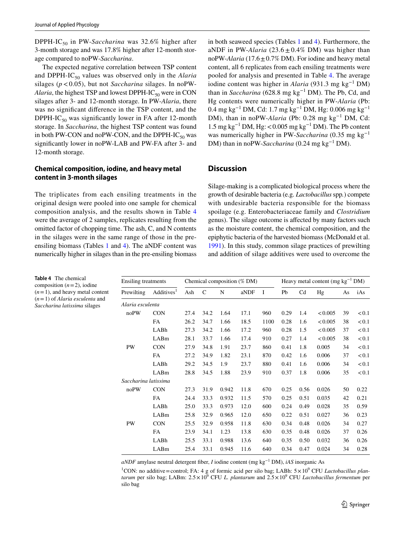DPPH-IC50 in PW-*Saccharina* was 32.6% higher after 3-month storage and was 17.8% higher after 12-month storage compared to noPW-*Saccharina*.

The expected negative correlation between TSP content and DPPH-IC<sub>50</sub> values was observed only in the *Alaria* silages ( $p < 0.05$ ), but not *Saccharina* silages. In noPW-*Alaria*, the highest TSP and lowest DPPH-IC $_{50}$  were in CON silages after 3- and 12-month storage. In PW-*Alaria*, there was no signifcant diference in the TSP content, and the DPPH-IC<sub>50</sub> was significantly lower in FA after 12-month storage. In *Saccharina*, the highest TSP content was found in both PW-CON and noPW-CON, and the DPPH-IC $_{50}$  was signifcantly lower in noPW-LAB and PW-FA after 3- and 12-month storage.

## **Chemical composition, iodine, and heavy metal content in 3‑month silages**

The triplicates from each ensiling treatments in the original design were pooled into one sample for chemical composition analysis, and the results shown in Table [4](#page-6-0) were the average of 2 samples, replicates resulting from the omitted factor of chopping time. The ash, C, and N contents in the silages were in the same range of those in the preensiling biomass (Tables [1](#page-4-0) and [4\)](#page-6-0). The aNDF content was numerically higher in silages than in the pre-ensiling biomass in both seaweed species (Tables [1](#page-4-0) and [4](#page-6-0)). Furthermore, the aNDF in PW-*Alaria* (23.6  $\pm$  0.4% DM) was higher than noPW-*Alaria* (17.6±0.7% DM). For iodine and heavy metal content, all 6 replicates from each ensiling treatments were pooled for analysis and presented in Table [4.](#page-6-0) The average iodine content was higher in *Alaria* (931.3 mg kg−1 DM) than in *Saccharina* (628.8 mg kg−1 DM). The Pb, Cd, and Hg contents were numerically higher in PW-*Alaria* (Pb: 0.4 mg kg−1 DM, Cd: 1.7 mg kg−1 DM, Hg: 0.006 mg kg−1 DM), than in noPW-*Alaria* (Pb: 0.28 mg kg<sup>-1</sup> DM, Cd: 1.5 mg kg<sup>-1</sup> DM, Hg: <0.005 mg kg<sup>-1</sup> DM). The Pb content was numerically higher in PW-*Saccharina* (0.35 mg kg−1 DM) than in noPW-*Saccharina* (0.24 mg kg<sup>-1</sup> DM).

## **Discussion**

Silage-making is a complicated biological process where the growth of desirable bacteria (e.g. *Lactobacillus* spp*.*) compete with undesirable bacteria responsible for the biomass spoilage (e.g. Enterobacteriaceae family and *Clostridium* genus). The silage outcome is afected by many factors such as the moisture content, the chemical composition, and the epiphytic bacteria of the harvested biomass (McDonald et al. [1991](#page-11-8)). In this study, common silage practices of prewilting and addition of silage additives were used to overcome the

| Ensiling treatments  |                        |      |      |       | Chemical composition (% DM) | Heavy metal content (mg $kg^{-1}$ DM) |                            |      |         |    |          |
|----------------------|------------------------|------|------|-------|-----------------------------|---------------------------------------|----------------------------|------|---------|----|----------|
| Prewilting           | Additives <sup>1</sup> | Ash  | C    | N     | aNDF                        | I                                     | Pb<br>C <sub>d</sub><br>Hg |      |         | As | iAs      |
| Alaria esculenta     |                        |      |      |       |                             |                                       |                            |      |         |    |          |
| noPW                 | <b>CON</b>             | 27.4 | 34.2 | 1.64  | 17.1                        | 960                                   | 0.29                       | 1.4  | < 0.005 | 39 | < 0.1    |
|                      | FA                     | 26.2 | 34.7 | 1.66  | 18.5                        | 1100                                  | 0.28                       | 1.6  | < 0.005 | 38 | ${<}0.1$ |
|                      | LABh                   | 27.3 | 34.2 | 1.66  | 17.2                        | 960                                   | 0.28                       | 1.5  | < 0.005 | 37 | < 0.1    |
|                      | LABm                   | 28.1 | 33.7 | 1.66  | 17.4                        | 910                                   | 0.27                       | 1.4  | < 0.005 | 38 | < 0.1    |
| <b>PW</b>            | <b>CON</b>             | 27.9 | 34.8 | 1.91  | 23.7                        | 860                                   | 0.41                       | 1.8  | 0.005   | 34 | < 0.1    |
|                      | FA                     | 27.2 | 34.9 | 1.82  | 23.1                        | 870                                   | 0.42                       | 1.6  | 0.006   | 37 | < 0.1    |
|                      | LABh                   | 29.2 | 34.5 | 1.9   | 23.7                        | 880                                   | 0.41                       | 1.6  | 0.006   | 34 | < 0.1    |
|                      | LABm                   | 28.8 | 34.5 | 1.88  | 23.9                        | 910                                   | 0.37                       | 1.8  | 0.006   | 35 | < 0.1    |
| Saccharina latissima |                        |      |      |       |                             |                                       |                            |      |         |    |          |
| noPW                 | <b>CON</b>             | 27.3 | 31.9 | 0.942 | 11.8                        | 670                                   | 0.25                       | 0.56 | 0.026   | 50 | 0.22     |
|                      | FA                     | 24.4 | 33.3 | 0.932 | 11.5                        | 570                                   | 0.25                       | 0.51 | 0.035   | 42 | 0.21     |
|                      | LABh                   | 25.0 | 33.3 | 0.973 | 12.0                        | 600                                   | 0.24                       | 0.49 | 0.028   | 35 | 0.59     |
|                      | LABm                   | 25.8 | 32.9 | 0.965 | 12.0                        | 650                                   | 0.22                       | 0.51 | 0.027   | 36 | 0.23     |
| <b>PW</b>            | <b>CON</b>             | 25.5 | 32.9 | 0.958 | 11.8                        | 630                                   | 0.34                       | 0.48 | 0.026   | 34 | 0.27     |
|                      | <b>FA</b>              | 23.9 | 34.1 | 1.23  | 13.8                        | 630                                   | 0.35                       | 0.48 | 0.026   | 37 | 0.26     |
|                      | LABh                   | 25.5 | 33.1 | 0.988 | 13.6                        | 640                                   | 0.35                       | 0.50 | 0.032   | 36 | 0.26     |
|                      | LABm                   | 25.4 | 33.1 | 0.945 | 11.6                        | 640                                   | 0.34                       | 0.47 | 0.024   | 34 | 0.28     |

<span id="page-6-0"></span>**Table 4** The chemical composition  $(n=2)$ , iodine  $(n=1)$ , and heavy metal content (*n*=1) of *Alaria esculenta* and *Saccharina latissima* silages

*aNDF* amylase neutral detergent fber, *I* iodine content (mg kg−1 DM), *iAS* inorganic As

<sup>1</sup>CON: no additive=control; FA: 4 g of formic acid per silo bag; LABh:  $5 \times 10^9$  CFU *Lactobacillus plantarum* per silo bag; LABm: 2.5× 10<sup>9</sup> CFU *L. plantarum* and 2.5× 10<sup>9</sup> CFU *Lactobacillus fermentum* per silo bag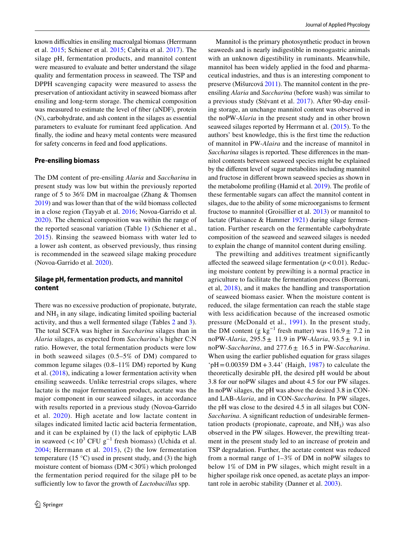known difficulties in ensiling macroalgal biomass (Herrmann et al. [2015](#page-10-8); Schiener et al. [2015](#page-11-9); Cabrita et al. [2017\)](#page-10-10). The silage pH, fermentation products, and mannitol content were measured to evaluate and better understand the silage quality and fermentation process in seaweed. The TSP and DPPH scavenging capacity were measured to assess the preservation of antioxidant activity in seaweed biomass after ensiling and long-term storage. The chemical composition was measured to estimate the level of fiber (aNDF), protein (N), carbohydrate, and ash content in the silages as essential parameters to evaluate for ruminant feed application. And fnally, the iodine and heavy metal contents were measured for safety concerns in feed and food applications.

#### **Pre‑ensiling biomass**

The DM content of pre-ensiling *Alaria* and *Saccharina* in present study was low but within the previously reported range of 5 to 36% DM in macroalgae (Zhang & Thomsen [2019](#page-11-10)) and was lower than that of the wild biomass collected in a close region (Tayyab et al. [2016](#page-11-11); Novoa-Garrido et al. [2020](#page-11-2)). The chemical composition was within the range of the reported seasonal variation (Table [1](#page-4-0)) (Schiener et al., [2015](#page-11-9)). Rinsing the seaweed biomass with water led to a lower ash content, as observed previously, thus rinsing is recommended in the seaweed silage making procedure (Novoa-Garrido et al. [2020\)](#page-11-2).

## **Silage pH, fermentation products, and mannitol content**

There was no excessive production of propionate, butyrate, and  $NH<sub>3</sub>$  in any silage, indicating limited spoiling bacterial activity, and thus a well fermented silage (Tables [2](#page-4-1) and [3](#page-5-0)). The total SCFA was higher in *Saccharina* silages than in *Alaria* silages, as expected from *Saccharina*'s higher C:N ratio. However, the total fermentation products were low in both seaweed silages (0.5–5% of DM) compared to common legume silages (0.8–11% DM) reported by Kung et al. ([2018\)](#page-11-12), indicating a lower fermentation activity when ensiling seaweeds. Unlike terrestrial crops silages, where lactate is the major fermentation product, acetate was the major component in our seaweed silages, in accordance with results reported in a previous study (Novoa-Garrido et al. [2020\)](#page-11-2). High acetate and low lactate content in silages indicated limited lactic acid bacteria fermentation, and it can be explained by (1) the lack of epiphytic LAB in seaweed  $(< 10<sup>3</sup> CFU g<sup>-1</sup>$  fresh biomass) (Uchida et al. [2004](#page-11-13); Herrmann et al. [2015\)](#page-10-8), (2) the low fermentation temperature (15 $\degree$ C) used in present study, and (3) the high moisture content of biomass (DM<30%) which prolonged the fermentation period required for the silage pH to be sufficiently low to favor the growth of *Lactobacillus* spp.

Mannitol is the primary photosynthetic product in brown seaweeds and is nearly indigestible in monogastric animals with an unknown digestibility in ruminants. Meanwhile, mannitol has been widely applied in the food and pharmaceutical industries, and thus is an interesting component to preserve (Mišurcová [2011](#page-11-14)). The mannitol content in the preensiling *Alaria* and *Saccharina* (before wash) was similar to a previous study (Stévant et al. [2017\)](#page-11-15). After 90-day ensiling storage, an unchange mannitol content was observed in the noPW-*Alaria* in the present study and in other brown seaweed silages reported by Herrmann et al. ([2015](#page-10-8)). To the authors' best knowledge, this is the frst time the reduction of mannitol in PW-*Alaira* and the increase of mannitol in *Saccharina* silages is reported. These diferences in the mannitol contents between seaweed species might be explained by the diferent level of sugar metabolites including mannitol and fructose in diferent brown seaweed species as shown in the metabolome profling (Hamid et al. [2019\)](#page-10-15). The profle of these fermentable sugars can afect the mannitol content in silages, due to the ability of some microorganisms to ferment fructose to mannitol (Groisillier et al. [2013\)](#page-10-16) or mannitol to lactate (Plaisance & Hammer [1921\)](#page-11-16) during silage fermentation. Further research on the fermentable carbohydrate composition of the seaweed and seaweed silages is needed to explain the change of mannitol content during ensiling.

The prewilting and additives treatment significantly affected the seaweed silage fermentation  $(p < 0.01)$ . Reducing moisture content by prewilting is a normal practice in agriculture to facilitate the fermentation process (Borreani, et al, [2018\)](#page-10-17), and it makes the handling and transportation of seaweed biomass easier. When the moisture content is reduced, the silage fermentation can reach the stable stage with less acidifcation because of the increased osmotic pressure (McDonald et al., [1991](#page-11-8)). In the present study, the DM content (g kg<sup>-1</sup> fresh matter) was  $116.9 \pm 7.2$  in noPW-*Alaria*, 295.5± 11.9 in PW-*Alaria*, 93.5± 9.1 in noPW-*Saccharina*, and 277.6± 16.5 in PW-*Saccharina*. When using the earlier published equation for grass silages  $pH = 0.00359 \text{ DM} + 3.44'$  (Haigh, [1987](#page-10-18)) to calculate the theoretically desirable pH, the desired pH would be about 3.8 for our noPW silages and about 4.5 for our PW silages. In noPW silages, the pH was above the desired 3.8 in CONand LAB-*Alaria*, and in CON-*Saccharina.* In PW silages, the pH was close to the desired 4.5 in all silages but CON-Saccharina. A significant reduction of undesirable fermentation products (propionate, caproate, and  $NH<sub>3</sub>$ ) was also observed in the PW silages. However, the prewilting treatment in the present study led to an increase of protein and TSP degradation. Further, the acetate content was reduced from a normal range of 1–3% of DM in noPW silages to below 1% of DM in PW silages, which might result in a higher spoilage risk once opened, as acetate plays an important role in aerobic stability (Danner et al. [2003](#page-10-19)).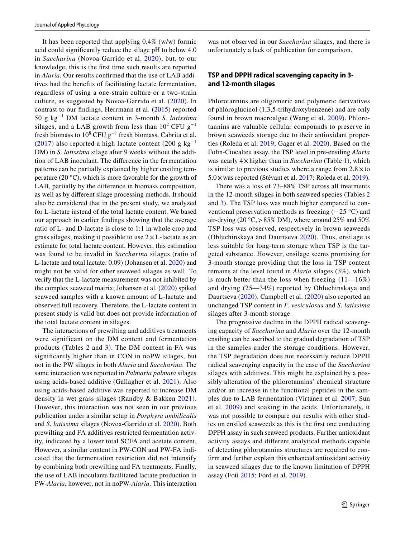It has been reported that applying 0.4% (w/w) formic acid could signifcantly reduce the silage pH to below 4.0 in *Saccharina* (Novoa-Garrido et al. [2020\)](#page-11-2), but, to our knowledge, this is the frst time such results are reported in *Alaria*. Our results confrmed that the use of LAB additives had the benefts of facilitating lactate fermentation, regardless of using a one-strain culture or a two-strain culture, as suggested by Novoa-Garrido et al. [\(2020](#page-11-2)). In contrast to our fndings, Herrmann et al. ([2015\)](#page-10-8) reported 50 g kg−1 DM lactate content in 3-month *S. latissima* silages, and a LAB growth from less than  $10^2$  CFU g<sup>-1</sup> fresh biomass to  $10^8$  CFU  $g^{-1}$  fresh biomass. Cabrita et al. ([2017\)](#page-10-10) also reported a high lactate content (200 g kg<sup>-1</sup>) DM) in *S. latissima* silage after 9 weeks without the addition of LAB inoculant. The diference in the fermentation patterns can be partially explained by higher ensiling temperature (20 $\degree$ C), which is more favorable for the growth of LAB, partially by the diference in biomass composition, as well as by diferent silage processing methods. It should also be considered that in the present study, we analyzed for L-lactate instead of the total lactate content. We based our approach in earlier fndings showing that the average ratio of L- and D-lactate is close to 1:1 in whole crop and grass silages, making it possible to use  $2 \times L$ -lactate as an estimate for total lactate content. However, this estimation was found to be invalid in *Saccharina* silages (ratio of L-lactate and total lactate: 0.09) (Johansen et al. [2020\)](#page-10-20) and might not be valid for other seaweed silages as well. To verify that the L-lactate measurement was not inhibited by the complex seaweed matrix, Johansen et al. ([2020\)](#page-10-20) spiked seaweed samples with a known amount of L-lactate and observed full recovery. Therefore, the L-lactate content in present study is valid but does not provide information of the total lactate content in silages.

The interactions of prewilting and additives treatments were significant on the DM content and fermentation products (Tables [2](#page-4-1) and [3\)](#page-5-0). The DM content in FA was signifcantly higher than in CON in noPW silages, but not in the PW silages in both *Alaria* and *Saccharina*. The same interaction was reported in *Palmaria palmata* silages using acids-based additive (Gallagher et al. [2021](#page-10-11)). Also using acids-based additive was reported to increase DM density in wet grass silages (Randby & Bakken [2021](#page-11-17)). However, this interaction was not seen in our previous publication under a similar setup in *Porphyra umbilicalis* and *S. latissima* silages (Novoa-Garrido et al. [2020\)](#page-11-2). Both prewilting and FA additives restricted fermentation activity, indicated by a lower total SCFA and acetate content. However, a similar content in PW-CON and PW-FA indicated that the fermentation restriction did not intensify by combining both prewilting and FA treatments. Finally, the use of LAB inoculants facilitated lactate production in PW-*Alaria*, however, not in noPW-*Alaria*. This interaction

was not observed in our *Saccharina* silages, and there is unfortunately a lack of publication for comparison.

## **TSP and DPPH radical scavenging capacity in 3‑ and 12‑month silages**

Phlorotannins are oligomeric and polymeric derivatives of phloroglucinol (1,3,5-trihydroxybenzene) and are only found in brown macroalgae (Wang et al. [2009](#page-11-18)). Phlorotannins are valuable cellular compounds to preserve in brown seaweeds storage due to their antioxidant properties (Roleda et al. [2019](#page-11-19); Gager et al. [2020](#page-10-21)). Based on the Folin-Ciocalteu assay, the TSP level in pre-ensiling *Alaria* was nearly 4×higher than in *Saccharina* (Table [1\)](#page-4-0), which is similar to previous studies where a range from  $2.8 \times$  to 5.0×was reported (Stévant et al. [2017](#page-11-15); Roleda et al. [2019](#page-11-19)).

There was a loss of 73–88% TSP across all treatments in the 12-month silages in both seaweed species (Tables [2](#page-4-1) and [3](#page-5-0)). The TSP loss was much higher compared to conventional preservation methods as freezing (−25 °C) and air-drying (20  $\textdegree$ C, > 85% DM), where around 25% and 50% TSP loss was observed, respectively in brown seaweeds (Obluchinskaya and Daurtseva [2020](#page-11-20)). Thus, ensilage is less suitable for long-term storage when TSP is the targeted substance. However, ensilage seems promising for 3-month storage providing that the loss in TSP content remains at the level found in *Alaria* silages (3%), which is much better than the loss when freezing  $(11-16%)$ and drying (25—34%) reported by Obluchinskaya and Daurtseva ([2020\)](#page-11-20). Campbell et al. ([2020](#page-10-9)) also reported an unchanged TSP content in *F. vesiculosus* and *S. latissima* silages after 3-month storage.

The progressive decline in the DPPH radical scavenging capacity of *Saccharina* and *Alaria* over the 12-month ensiling can be ascribed to the gradual degradation of TSP in the samples under the storage conditions. However, the TSP degradation does not necessarily reduce DPPH radical scavenging capacity in the case of the *Saccharina* silages with additives. This might be explained by a possibly alteration of the phlorotannins' chemical structure and/or an increase in the functional peptides in the samples due to LAB fermentation (Virtanen et al. [2007](#page-11-21); Sun et al. [2009\)](#page-11-22) and soaking in the acids. Unfortunately, it was not possible to compare our results with other studies on ensiled seaweeds as this is the frst one conducting DPPH assay in such seaweed products. Further antioxidant activity assays and diferent analytical methods capable of detecting phlorotannins structures are required to confrm and further explain this enhanced antioxidant activity in seaweed silages due to the known limitation of DPPH assay (Foti [2015;](#page-10-22) Ford et al. [2019](#page-10-23)).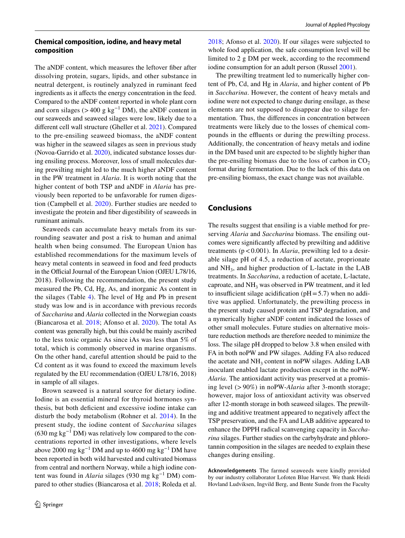## **Chemical composition, iodine, and heavy metal composition**

The aNDF content, which measures the leftover fber after dissolving protein, sugars, lipids, and other substance in neutral detergent, is routinely analyzed in ruminant feed ingredients as it afects the energy concentration in the feed. Compared to the aNDF content reported in whole plant corn and corn silages (>400 g kg<sup>-1</sup> DM), the aNDF content in our seaweeds and seaweed silages were low, likely due to a diferent cell wall structure (Gheller et al. [2021](#page-10-24)). Compared to the pre-ensiling seaweed biomass, the aNDF content was higher in the seaweed silages as seen in previous study (Novoa-Garrido et al. [2020\)](#page-11-2), indicated substance losses during ensiling process. Moreover, loss of small molecules during prewilting might led to the much higher aNDF content in the PW treatment in *Alaria*. It is worth noting that the higher content of both TSP and aNDF in *Alaria* has previously been reported to be unfavorable for rumen digestion (Campbell et al. [2020\)](#page-10-9). Further studies are needed to investigate the protein and fber digestibility of seaweeds in ruminant animals.

Seaweeds can accumulate heavy metals from its surrounding seawater and post a risk to human and animal health when being consumed. The European Union has established recommendations for the maximum levels of heavy metal contents in seaweed in food and feed products in the Official Journal of the European Union (OJEU L78/16, 2018). Following the recommendation, the present study measured the Pb, Cd, Hg, As, and inorganic As content in the silages (Table [4\)](#page-6-0). The level of Hg and Pb in present study was low and is in accordance with previous records of *Saccharina* and *Alaria* collected in the Norwegian coasts (Biancarosa et al. [2018;](#page-10-25) Afonso et al. [2020\)](#page-10-26). The total As content was generally high, but this could be mainly ascribed to the less toxic organic As since iAs was less than 5% of total, which is commonly observed in marine organisms. On the other hand, careful attention should be paid to the Cd content as it was found to exceed the maximum levels regulated by the EU recommendation (OJEU L78/16, 2018) in sample of all silages.

Brown seaweed is a natural source for dietary iodine. Iodine is an essential mineral for thyroid hormones synthesis, but both defcient and excessive iodine intake can disturb the body metabolism (Rohner et al. [2014](#page-11-23)). In the present study, the iodine content of *Saccharina* silages  $(630 \text{ mg kg}^{-1} \text{ DM})$  was relatively low compared to the concentrations reported in other investigations, where levels above 2000 mg kg<sup>-1</sup> DM and up to 4600 mg kg<sup>-1</sup> DM have been reported in both wild harvested and cultivated biomass from central and northern Norway, while a high iodine content was found in *Alaria* silages (930 mg kg−1 DM) compared to other studies (Biancarosa et al. [2018](#page-10-25); Roleda et al. [2018](#page-11-24); Afonso et al. [2020\)](#page-10-26). If our silages were subjected to whole food application, the safe consumption level will be limited to 2 g DM per week, according to the recommend iodine consumption for an adult person (Russel [2001](#page-11-25)).

The prewilting treatment led to numerically higher content of Pb, Cd, and Hg in *Alaria*, and higher content of Pb in *Saccharina*. However, the content of heavy metals and iodine were not expected to change during ensilage, as these elements are not supposed to disappear due to silage fermentation. Thus, the diferences in concentration between treatments were likely due to the losses of chemical compounds in the effluents or during the prewilting process. Additionally, the concentration of heavy metals and iodine in the DM based unit are expected to be slightly higher than the pre-ensiling biomass due to the loss of carbon in  $CO<sub>2</sub>$ format during fermentation. Due to the lack of this data on pre-ensiling biomass, the exact change was not available.

## **Conclusions**

The results suggest that ensiling is a viable method for preserving *Alaria* and *Saccharina* biomass. The ensiling outcomes were signifcantly afected by prewilting and additive treatments ( $p < 0.001$ ). In *Alaria*, prewilting led to a desirable silage pH of 4.5, a reduction of acetate, proprionate and  $NH<sub>3</sub>$ , and higher production of L-lactate in the LAB treatments. In *Saccharina*, a reduction of acetate, L-lactate, caproate, and NH<sub>3</sub> was observed in PW treatment, and it led to insufficient silage acidification ( $pH = 5.7$ ) when no additive was applied. Unfortunately, the prewilting process in the present study caused protein and TSP degradation, and a nymerically higher aNDF content indicated the losses of other small molecules. Future studies on alternative moisture reduction methods are therefore needed to minimize the loss. The silage pH dropped to below 3.8 when ensiled with FA in both noPW and PW silages. Adding FA also reduced the acetate and  $NH_3$  content in noPW silages. Adding LAB inoculant enabled lactate production except in the noPW-*Alaria*. The antioxidant activity was preserved at a promising level (>90%) in noPW-*Alaria* after 3-month storage; however, major loss of antioxidant activity was observed after 12-month storage in both seaweed silages. The prewilting and additive treatment appeared to negatively afect the TSP preservation, and the FA and LAB additive appeared to enhance the DPPH radical scanvenging capacity in *Saccharina* silages. Further studies on the carbyhydrate and phlorotannin composition in the silages are needed to explain these changes during ensiling.

**Acknowledgements** The farmed seaweeds were kindly provided by our industry collaborator Lofoten Blue Harvest. We thank Heidi Hovland Ludviksen, Ingvild Berg, and Bente Sunde from the Faculty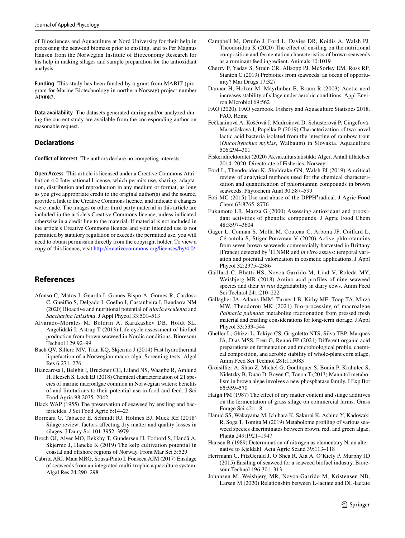of Biosciences and Aquaculture at Nord University for their help in processing the seaweed biomass prior to ensiling, and to Per Magnus Hansen from the Norwegian Institute of Bioeconomy Research for his help in making silages and sample preparation for the antioxidant analysis.

**Funding** This study has been funded by a grant from MABIT (program for Marine Biotechnology in northern Norway) project number AF0083.

**Data availability** The datasets generated during and/or analyzed during the current study are available from the corresponding author on reasonable request.

### **Declarations**

**Conflict of interest** The authors declare no competing interests.

**Open Access** This article is licensed under a Creative Commons Attribution 4.0 International License, which permits use, sharing, adaptation, distribution and reproduction in any medium or format, as long as you give appropriate credit to the original author(s) and the source, provide a link to the Creative Commons licence, and indicate if changes were made. The images or other third party material in this article are included in the article's Creative Commons licence, unless indicated otherwise in a credit line to the material. If material is not included in the article's Creative Commons licence and your intended use is not permitted by statutory regulation or exceeds the permitted use, you will need to obtain permission directly from the copyright holder. To view a copy of this licence, visit <http://creativecommons.org/licenses/by/4.0/>.

## **References**

- <span id="page-10-26"></span>Afonso C, Matos J, Guarda I, Gomes-Bispo A, Gomes R, Cardoso C, Gueifão S, Delgado I, Coelho I, Castanheira I, Bandarra NM (2020) Bioactive and nutritional potential of *Alaria esculenta* and *Saccharina latissima*. J Appl Phycol 33:501–513
- <span id="page-10-5"></span>Alvarado-Morales M, Boldrin A, Karakashev DB, Holdt SL, Angelidaki I, Astrup T (2013) Life cycle assessment of biofuel production from brown seaweed in Nordic conditions. Bioresour Technol 129:92–99
- <span id="page-10-6"></span>Bach QV, Sillero MV, Tran KQ, Skjermo J (2014) Fast hydrothermal liquefaction of a Norwegian macro-alga: Screening tests. Algal Res 6:271–276
- <span id="page-10-25"></span>Biancarosa I, Belghit I, Bruckner CG, Liland NS, Waagbø R, Amlund H, Heesch S, Lock EJ (2018) Chemical characterization of 21 species of marine macroalgae common in Norwegian waters: benefts of and limitations to their potential use in food and feed. J Sci Food Agric 98:2035–2042
- <span id="page-10-7"></span>Black WAP (1955) The preservation of seaweed by ensiling and bactericides. J Sci Food Agric 6:14–23
- <span id="page-10-17"></span>Borreani G, Tabacco E, Schmidt RJ, Holmes BJ, Muck RE (2018) Silage review: factors afecting dry matter and quality losses in silages. J Dairy Sci 101:3952–3979
- <span id="page-10-3"></span>Broch OJ, Alver MO, Bekkby T, Gundersen H, Forbord S, Handå A, Skjermo J, Hancke K (2019) The kelp cultivation potential in coastal and offshore regions of Norway. Front Mar Sci 5:529
- <span id="page-10-10"></span>Cabrita ARJ, Maia MRG, Sousa-Pinto I, Fonseca AJM (2017) Ensilage of seaweeds from an integrated multi-trophic aquaculture system. Algal Res 24:290–298
- <span id="page-10-9"></span>Campbell M, Ortuño J, Ford L, Davies DR, Koidis A, Walsh PJ, Theodoridou K (2020) The effect of ensiling on the nutritional composition and fermentation characteristics of brown seaweeds as a ruminant feed ingredient. Animals 10:1019
- <span id="page-10-0"></span>Cherry P, Yadav S, Strain CR, Allsopp PJ, McSorley EM, Ross RP, Stanton C (2019) Prebiotics from seaweeds: an ocean of opportunity? Mar Drugs 17:327
- <span id="page-10-19"></span>Danner H, Holzer M, Mayrhuber E, Braun R (2003) Acetic acid increases stability of silage under aerobic conditions. Appl Environ Microbiol 69:562
- <span id="page-10-2"></span>FAO (2020). FAO yearbook. Fishery and Aquaculture Statistics 2018. FAO, Rome
- <span id="page-10-12"></span>Fečkaninová A, Koščová J, Mudroňová D, Schusterová P, Cingeľová-Maruščáková I, Popelka P (2019) Characterization of two novel lactic acid bacteria isolated from the intestine of rainbow trout (*Oncorhynchus mykiss*, Walbaum) in Slovakia. Aquaculture 506:294–301
- <span id="page-10-4"></span>Fiskeridirektoratet (2020) Akvakulturstatistikk: Alger, Antall tillatelser 2014–2020. Directorate of Fisheries, Norway
- <span id="page-10-23"></span>Ford L, Theodoridou K, Sheldrake GN, Walsh PJ (2019) A critical review of analytical methods used for the chemical characterisation and quantifcation of phlorotannin compounds in brown seaweeds. Phytochem Anal 30:587–599
- <span id="page-10-22"></span>Foti MC (2015) Use and abuse of the DPPH<sup>•</sup>radical. J Agric Food Chem 63:8765–8776
- <span id="page-10-14"></span>Fukumoto LR, Mazza G (2000) Assessing antioxidant and prooxidant activities of phenolic compounds. J Agric Food Chem 48:3597–3604
- <span id="page-10-21"></span>Gager L, Connan S, Molla M, Couteau C, Arbona JF, Coifard L, Cérantola S, Stiger-Pouvreau V (2020) Active phlorotannins from seven brown seaweeds commercially harvested in Brittany (France) detected by 1 H NMR and *in vitro* assays: temporal variation and potential valorization in cosmetic applications. J Appl Phycol 32:2375–2386
- <span id="page-10-1"></span>Gaillard C, Bhatti HS, Novoa-Garrido M, Lind V, Roleda MY, Weisbjerg MR (2018) Amino acid profiles of nine seaweed species and their *in situ* degradability in dairy cows. Anim Feed Sci Technol 241:210–222
- <span id="page-10-11"></span>Gallagher JA, Adams JMM, Turner LB, Kirby ME, Toop TA, Mirza MW, Theodorou MK (2021) Bio-processing of macroalgae *Palmaria palmata*: metabolite fractionation from pressed fresh material and ensiling considerations for long-term storage. J Appl Phycol 33:533–544
- <span id="page-10-24"></span>Gheller L, Ghizzi L, Takiya CS, Grigoletto NTS, Silva TBP, Marques JA, Dias MSS, Freu G, Rennó FP (2021) Diferent organic acid preparations on fermentation and microbiological profle, chemical composition, and aerobic stability of whole-plant corn silage. Anim Feed Sci Technol 281:115083
- <span id="page-10-16"></span>Groisillier A, Shao Z, Michel G, Goulitquer S, Bonin P, Krahulec S, Nidetzky B, Duan D, Boyen C, Tonon T (2013) Mannitol metabolism in brown algae involves a new phosphatase family. J Exp Bot 65:559–570
- <span id="page-10-18"></span>Haigh PM (1987) The effect of dry matter content and silage additives on the fermentation of grass silage on commercial farms. Grass Forage Sci 42:1–8
- <span id="page-10-15"></span>Hamid SS, Wakayama M, Ichihara K, Sakurai K, Ashino Y, Kadowaki R, Soga T, Tomita M (2019) Metabolome profling of various seaweed species discriminates between brown, red, and green algae. Planta 249:1921–1947
- <span id="page-10-13"></span>Hansen B (1989) Determination of nitrogen as elementary N, an alternative to Kjeldahl. Acta Agric Scand 39:113–118
- <span id="page-10-8"></span>Herrmann C, FitzGerald J, O'Shea R, Xia A, O'Kiely P, Murphy JD (2015) Ensiling of seaweed for a seaweed biofuel industry. Bioresour Technol 196:301–313
- <span id="page-10-20"></span>Johansen M, Weisbjerg MR, Novoa-Garrido M, Kristensen NB, Larsen M (2020) Relationship between L-lactate and DL-lactate